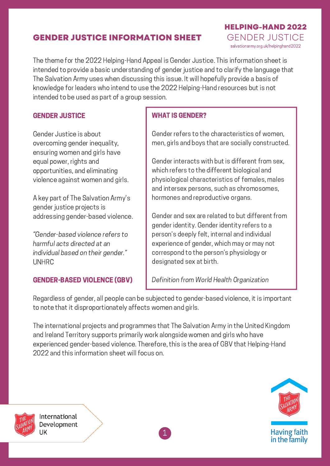# **GENDER JUSTICE INFORMATION SHEET**

The theme for the 2022 Helping-Hand Appeal is Gender Justice. This information sheet is intended to provide a basic understanding of gender justice and to clarify the language that The Salvation Army uses when discussing this issue. It will hopefully provide a basis of knowledge for leaders who intend to use the 2022 Helping-Hand resources but is not intended to be used as part of a group session.

#### GENDER JUSTICE

Gender Justice is about overcoming gender inequality, ensuring women and girls have equal power, rights and opportunities, and eliminating violence against women and girls.

A key part of The Salvation Army's gender justice projects is addressing gender-based violence.

"Gender-based violence refers to harmful acts directed at an individual based on their gender." UNHRC

#### GENDER-BASED VIOLENCE (GBV)

#### WHAT IS GENDER?

Gender refers to the characteristics of women, men, girls and boys that are socially constructed.

**HELPING-HAND 2022**

salvationarmy.org.uk/helpinghand2022 GENDER JUSTICE

Gender interacts with but is different from sex, which refers to the different biological and physiological characteristics of females, males and intersex persons, such as chromosomes, hormones and reproductive organs.

Gender and sex are related to but different from gender identity. Gender identity refers to a person's deeply felt, internal and individual experience of gender, which may or may not correspond to the person's physiology or designated sex at birth.

Definition from World Health Organization

Regardless of gender, all people can be subjected to gender-based violence, it is important to note that it disproportionately affects women and girls.

The international projects and programmes that The Salvation Army in the United Kingdom and Ireland Territory supports primarily work alongside women and girls who have experienced gender-based violence. Therefore, this is the area of GBV that Helping-Hand 2022 and this information sheet will focus on.





International Development UK

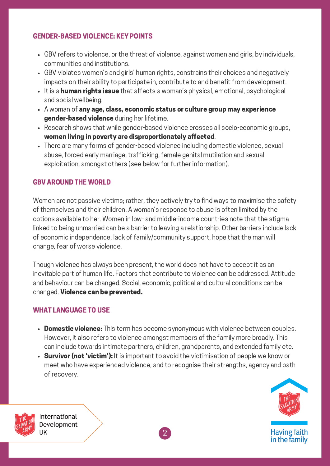### GENDER-BASED VIOLENCE: KEY POINTS

- GBV refers to violence, or the threat of violence, against women and girls, by individuals, communities and institutions.
- GBV violates women's and girls' human rights, constrains their choices and negatively impacts on their ability to participate in, contribute to and benefit from development.
- It is a human rights issue that affects a woman's physical, emotional, psychological and social wellbeing.
- A woman of any age, class, economic status or culture group may experience gender-based violence during her lifetime.
- Research shows that while gender-based violence crosses all socio-economic groups, women living in poverty are disproportionately affected.
- There are many forms of gender-based violence including domestic violence, sexual abuse, forced early marriage, trafficking, female genital mutilation and sexual exploitation, amongst others (see below for further information).

### GBV AROUND THE WORLD

Women are not passive victims; rather, they actively try to find ways to maximise the safety of themselves and their children. A woman's response to abuse is often limited by the options available to her. Women in low- and middle-income countries note that the stigma linked to being unmarried can be a barrier to leaving a relationship. Other barriers include lack of economic independence, lack of family/community support, hope that the man will change, fear of worse violence.

Though violence has always been present, the world does not have to accept it as an inevitable part of human life. Factors that contribute to violence can be addressed. Attitude and behaviour can be changed. Social, economic, political and cultural conditions can be changed. Violence can be prevented.

### WHAT LANGUAGE TO USE

- Domestic violence: This term has become synonymous with violence between couples. However, it also refers to violence amongst members of the family more broadly. This can include towards intimate partners, children, grandparents, and extended family etc.
- Survivor (not 'victim'): It is important to avoid the victimisation of people we know or meet who have experienced violence, and to recognise their strengths, agency and path of recovery.



International Development UK

2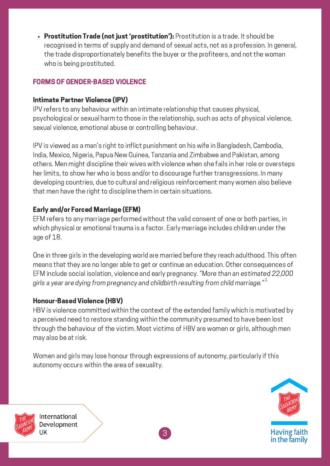• Prostitution Trade (not just 'prostitution'): Prostitution is a trade. It should be recognised in terms of supply and demand of sexual acts, not as a profession. In general, the trade disproportionately benefits the buyer or the profiteers, and not the woman who is being prostituted.

# FORMS OF GENDER-BASED VIOLENCE

### Intimate Partner Violence (IPV)

IPV refers to any behaviour within an intimate relationship that causes physical, psychological or sexual harm to those in the relationship, such as acts of physical violence, sexual violence, emotional abuse or controlling behaviour.

IPV is viewed as a man's right to inflict punishment on his wife in Bangladesh, Cambodia, India, Mexico, Nigeria, Papua New Guinea, Tanzania and Zimbabwe and Pakistan, among others. Men might discipline their wives with violence when she fails in her role or oversteps her limits, to show her who is boss and/or to discourage further transgressions. In many developing countries, due to cultural and religious reinforcement many women also believe that men have the right to discipline them in certain situations.

# Early and/or Forced Marriage (EFM)

EFM refers to any marriage performed without the valid consent of one or both parties, in which physical or emotional trauma is a factor. Early marriage includes children under the age of 18.

One in three girls in the developing world are married before they reach adulthood. This often means that they are no longer able to get or continue an education. Other consequences of EFM include social isolation, violence and early pregnancy. "More than an estimated 22,000 airls a vear are dving from pregnancy and childbirth resulting from child marriage." $^{\rm 1}$ 

### Honour-Based Violence (HBV)

HBV is violence committed within the context of the extended family which is motivated by a perceived need to restore standing within the community presumed to have been lost through the behaviour of the victim. Most victims of HBV are women or girls, although men may also be at risk.

Women and girls may lose honour through expressions of autonomy, particularly if this autonomy occurs within the area of sexuality.





International Development UK

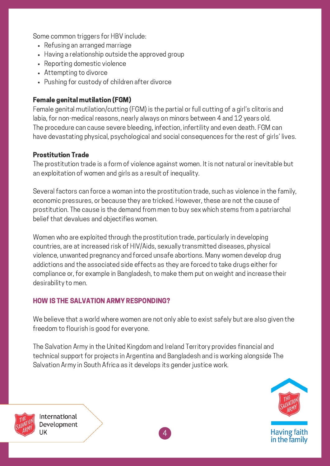Some common triggers for HBV include:

- Refusing an arranged marriage
- Having a relationship outside the approved group
- Reporting domestic violence
- Attempting to divorce
- Pushing for custody of children after divorce

### Female genital mutilation (FGM)

Female genital mutilation/cutting (FGM) is the partial or full cutting of a girl's clitoris and labia, for non-medical reasons, nearly always on minors between 4 and 12 years old. The procedure can cause severe bleeding, infection, infertility and even death. FGM can have devastating physical, psychological and social consequences for the rest of girls' lives.

## Prostitution Trade

The prostitution trade is a form of violence against women. It is not natural or inevitable but an exploitation of women and girls as a result of inequality.

Several factors can force a woman into the prostitution trade, such as violence in the family, economic pressures, or because they are tricked. However, these are not the cause of prostitution. The cause is the demand from men to buy sex which stems from a patriarchal belief that devalues and objectifies women.

Women who are exploited through the prostitution trade, particularly in developing countries, are at increased risk of HIV/Aids, sexually transmitted diseases, physical violence, unwanted pregnancy and forced unsafe abortions. Many women develop drug addictions and the associated side effects as they are forced to take drugs either for compliance or, for example in Bangladesh, to make them put on weight and increase their desirability to men.

# HOW IS THE SALVATION ARMY RESPONDING?

We believe that a world where women are not only able to exist safely but are also given the freedom to flourish is good for everyone.

The Salvation Army in the United Kingdom and Ireland Territory provides financial and technical support for projects in Argentina and Bangladesh and is working alongside The Salvation Army in South Africa as it develops its gender justice work.



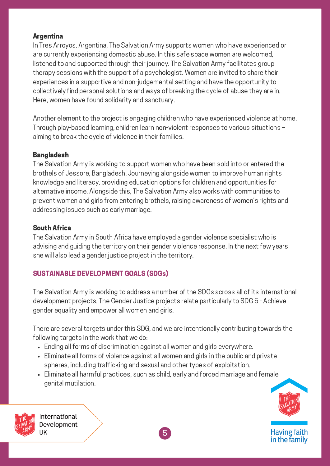#### Argentina

In Tres Arroyos, Argentina, The Salvation Army supports women who have experienced or are currently experiencing domestic abuse. In this safe space women are welcomed, listened to and supported through their journey. The Salvation Army facilitates group therapy sessions with the support of a psychologist. Women are invited to share their experiences in a supportive and non-judgemental setting and have the opportunity to collectively find personal solutions and ways of breaking the cycle of abuse they are in. Here, women have found solidarity and sanctuary.

Another element to the project is engaging children who have experienced violence at home. Through play-based learning, children learn non-violent responses to various situations – aiming to break the cycle of violence in their families.

### Bangladesh

The Salvation Army is working to support women who have been sold into or entered the brothels of Jessore, Bangladesh. Journeying alongside women to improve human rights knowledge and literacy, providing education options for children and opportunities for alternative income. Alongside this, The Salvation Army also works with communities to prevent women and girls from entering brothels, raising awareness of women's rights and addressing issues such as early marriage.

### South Africa

The Salvation Army in South Africa have employed a gender violence specialist who is advising and guiding the territory on their gender violence response. In the next few years she will also lead a gender justice project in the territory.

# SUSTAINABLE DEVELOPMENT GOALS (SDGs)

The Salvation Army is working to address a number of the SDGs across all of its international development projects. The Gender Justice projects relate particularly to SDG 5 - Achieve gender equality and empower all women and girls.

There are several targets under this SDG, and we are intentionally contributing towards the following targets in the work that we do:

- Ending all forms of discrimination against all women and girls everywhere.
- Eliminate all forms of violence against all women and girls in the public and private spheres, including trafficking and sexual and other types of exploitation.
- Eliminate all harmful practices, such as child, early and forced marriage and female genital mutilation.



Having faith<br>in the family